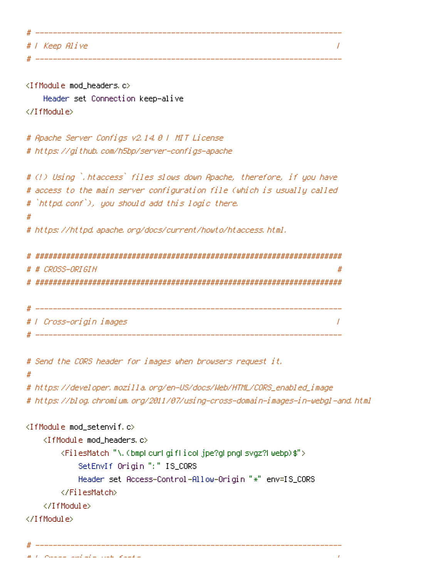| ----           |
|----------------|
| #   Keep Alive |
|                |

```
<IfModule mod_headers.c>
   Header set Connection keep-alive
</IfModule>
# Apache Server Configs v2.14.0 | MIT License
# https://github.com/h5bp/server-configs-apache
# (!) Using `.htaccess` files slows down Apache, therefore, if you have
# access to the main server configuration file (which is usually called
# `httpd.conf`), you should add this logic there.
#
# https://httpd.apache.org/docs/current/howto/htaccess.html.
# ######################################################################
# # CROSS-ORIGIN #
# ######################################################################
 # ----------------------------------------------------------------------
# | Cross-origin images |
# ----------------------------------------------------------------------
# Send the CORS header for images when browsers request it.
#
# https://developer.mozilla.org/en-US/docs/Web/HTML/CORS_enabled_image
# https://blog.chromium.org/2011/07/using-cross-domain-images-in-webgl-and.html
<IfModule mod_setenvif.c>
   <IfModule mod_headers.c>
       <FilesMatch "\.(bmp|cur|gif|ico|jpe?g|png|svgz?|webp)$">
           SetEnvIf Origin ":" IS_CORS
           Header set Access-Control-Allow-Origin "*" env=IS_CORS
       </FilesMatch>
   </IfModule>
</IfModule>
```
# ----------------------------------------------------------------------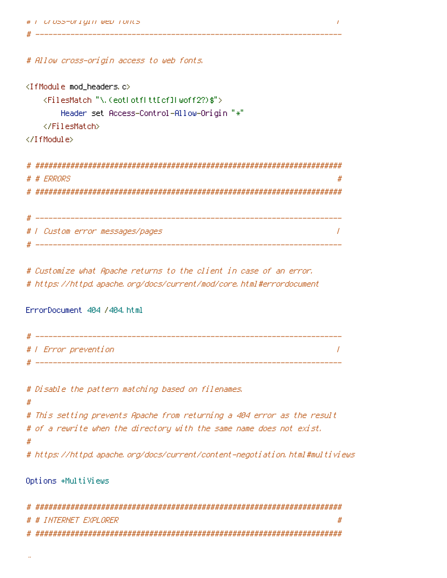```
# Allow cross-origin access to web fonts.
```

```
<IfModule mod_headers.c>
    <FilesMatch "\.(eot|otf|tt[cf]|woff2?)$">
        Header set Access-Control-Allow-Origin "*"
    </FilesMatch>
</IfModule>
```
# ----------------------------------------------------------------------

| # # FRRNRS                      |  |
|---------------------------------|--|
|                                 |  |
|                                 |  |
|                                 |  |
| #   Custom error messages/pages |  |
|                                 |  |

# Customize what Apache returns to the client in case of an error. # https://httpd.apache.org/docs/current/mod/core.html#errordocument

ErrorDocument 404 /404.html

```
# ----------------------------------------------------------------------
# | Error prevention |
# ----------------------------------------------------------------------
```
# Disable the pattern matching based on filenames. # # This setting prevents Apache from returning <sup>a</sup> 404 error as the result # of <sup>a</sup> rewrite when the directory with the same name does not exist. # # https://httpd.apache.org/docs/current/content-negotiation.html#multiviews

Options +MultiViews

| # # INTERNET EXPLORER |  |
|-----------------------|--|
|                       |  |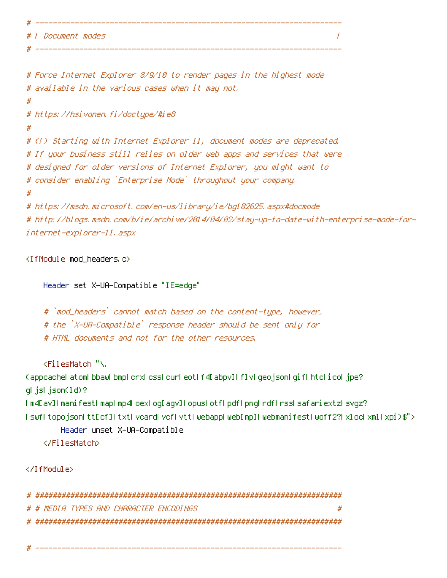```
# | Document modes |
```

```
# Force Internet Explorer 8/9/10 to render pages in the highest mode
# available in the various cases when it may not.
#
# https://hsivonen.fi/doctype/#ie8
#
# (!) Starting with Internet Explorer 11, document modes are deprecated.
# If your business still relies on older web apps and services that were
# designed for older versions of Internet Explorer, you might want to
# consider enabling `Enterprise Mode` throughout your company.
#
# https://msdn.microsoft.com/en-us/library/ie/bg182625.aspx#docmode
# http://blogs.msdn.com/b/ie/archive/2014/04/02/stay-up-to-date-with-enterprise-mode-for-
internet-explorer-11.aspx
```

```
<IfModule mod_headers.c>
```
Header set X-UA-Compatible "IE=edge"

# `mod\_headers` cannot match based on the content-type, however, # the `X-UA-Compatible` response header should be sent only for # HTML documents and not for the other resources.

# ----------------------------------------------------------------------

# ----------------------------------------------------------------------

<FilesMatch "\.

(appcache|atom|bbaw|bmp|crx|css|cur|eot|f4[abpv]|flv|geojson|gif|htc|ico|jpe? g|js|json(ld)?

|m4[av]|manifest|map|mp4|oex|og[agv]|opus|otf|pdf|png|rdf|rss|safariextz|svgz? |swf|topojson|tt[cf]|txt|vcard|vcf|vtt|webapp|web[mp]|webmanifest|woff2?|xloc|xml|xpi)\$">

```
Header unset X-UA-Compatible
```
</FilesMatch>

```
</IfModule>
```

| # # MEDIA TYPES AND CHARACTER ENCODINGS | # |
|-----------------------------------------|---|
|                                         |   |

# ----------------------------------------------------------------------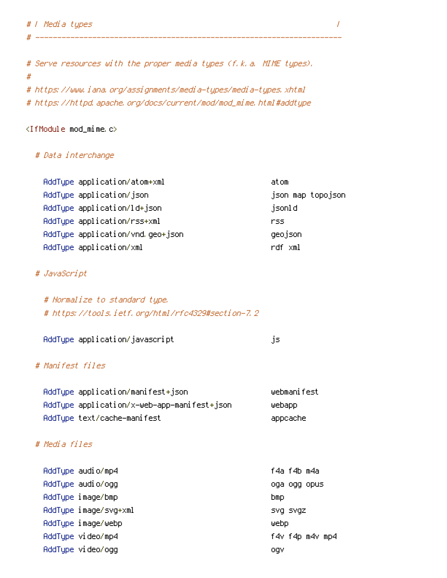# Serve resources with the proper media types (f.k.a. MIME types). # # https://www.iana.org/assignments/media-types/media-types.xhtml # https://httpd.apache.org/docs/current/mod/mod\_mime.html#addtype

# ----------------------------------------------------------------------

## <IfModule mod\_mime.c>

# # Data interchange

| AddType application/atom+xml     | atom              |
|----------------------------------|-------------------|
| AddType application/json         | json map topojson |
| AddType application/ld+json      | jsonl d           |
| AddType application/rss+xml      | rss.              |
| AddTupe application/vnd.geo+json | geojson           |
| AddType application/xml          | rdf xml           |

### # JavaScript

| # Normalize to standard type.                     |
|---------------------------------------------------|
| # https://tools.ietf.org/html/rfc4329#section-7.2 |

| AddType application/javascript |  |
|--------------------------------|--|
|                                |  |

### # Manifest files

| AddType application/manifest+json           | webmanifest |
|---------------------------------------------|-------------|
| AddTupe application/x-web-app-manifest+json | webapp      |
| AddTupe text/cache-manifest                 | appcache    |

# # Media files

| AddType audio/mp4     | f4a f4b m4a     |
|-----------------------|-----------------|
| AddType audio/ogg     | oga ogg opus    |
| AddType image/bmp     | bmp.            |
| AddType image/svg+xml | SVQ SVQZ        |
| AddType image/webp    | webp            |
| AddTupe video/mp4     | f4v f4p m4v mp4 |
| AddType video/ogg     | oqv             |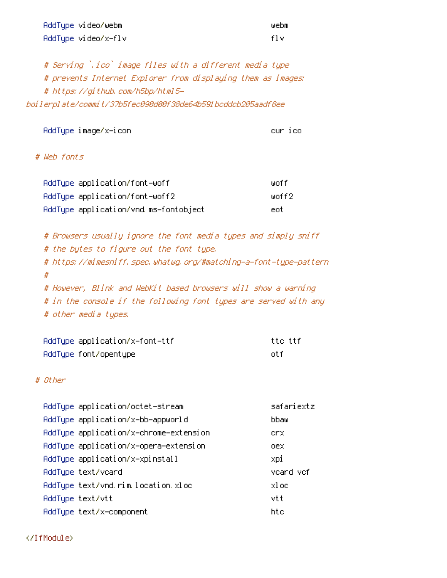| AddType video/webm  | webm  |
|---------------------|-------|
| AddType video/x-flv | -f1 v |

# Serving `.ico` image files with <sup>a</sup> different media type # prevents Internet Explorer from displaying them as images: # https://github.com/h5bp/html5 boilerplate/commit/37b5fec090d00f38de64b591bcddcb205aadf8ee

AddType image/x-icon cur icon cur icon cur ico

# # Web fonts

| AddTupe application/font-woff         | liinf f  |
|---------------------------------------|----------|
| AddTupe application/font-woff2        | liinff2. |
| AddType application/vnd.ms-fontobject | ent.     |

# Browsers usually ignore the font media types and simply sniff # the bytes to figure out the font type. # https://mimesniff.spec.whatwg.org/#matching-a-font-type-pattern # # However, Blink and WebKit based browsers will show <sup>a</sup> warning # in the console if the following font types are served with any # other media types.

| AddTupe application/x-font-ttf | tto ttf. |
|--------------------------------|----------|
| AddType font/opentype          | nt f     |

### # Other

| AddType application/octet-stream       | safariextz |
|----------------------------------------|------------|
| AddTupe application/x-bb-appworld      | bbaw       |
| AddType application/x-chrome-extension | crx.       |
| AddType application/x-opera-extension  | oex        |
| AddType application/x-xpinstall        | xpi        |
| AddTupe text/vcard                     | vcard vcf  |
| AddType text/vnd.rim.location.xloc     | xl oc      |
| AddTupe text/vtt                       | vtt        |
| AddTupe text/x-component               | htc        |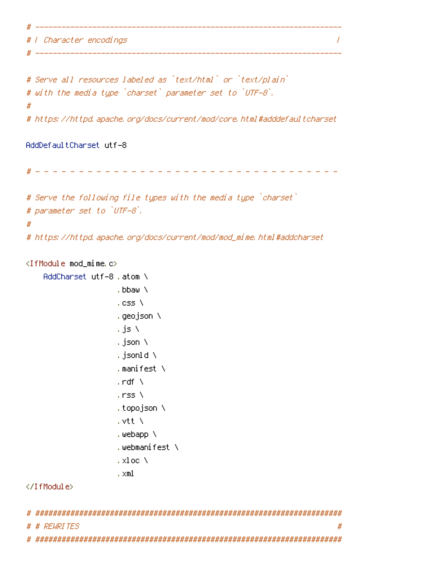# | Character encodings |

```
# Serve all resources labeled as `text/html` or `text/plain`
# with the media type `charset` parameter set to `UTF-8`.
#
# https://httpd.apache.org/docs/current/mod/core.html#adddefaultcharset
```
# ----------------------------------------------------------------------

# ----------------------------------------------------------------------

AddDefaultCharset utf-8

# - - - - - - - - - - - - - - - - - - - - - - - - - - - - - - - - - - -

# Serve the following file types with the media type `charset` # parameter set to `UTF-8`. # # https://httpd.apache.org/docs/current/mod/mod\_mime.html#addcharset

#### <IfModule mod\_mime.c>

```
AddCharset utf-8 .atom \
                         .bbaw \
                         . css \lambda.geojson \
                         .js \
                         .json \
                         .jsonld \
                         .manifest \
                         . \mathsf{rdf} \, \setminus.rss \
                         .topojson \
                         .vtt \
                         .webapp \
                         .webmanifest \
                         .xloc \
                         .xml
</IfModule>
```

| # # RFURITES | # |
|--------------|---|
|              |   |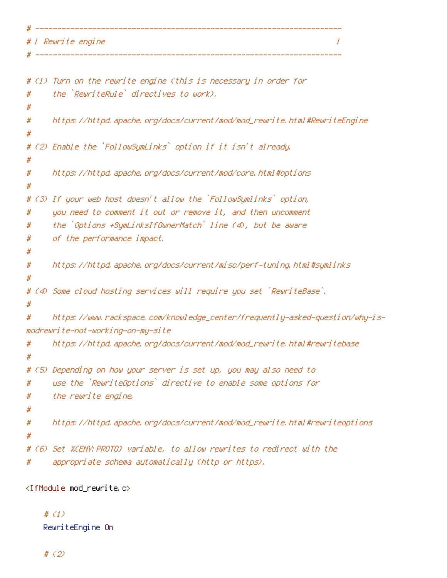# ---------------------------------------------------------------------- # | Rewrite engine | # ----------------------------------------------------------------------

```
# (1) Turn on the rewrite engine (this is necessary in order for
# the `RewriteRule` directives to work).
#
# https://httpd.apache.org/docs/current/mod/mod_rewrite.html#RewriteEngine
#
# (2) Enable the `FollowSymLinks` option if it isn't already.
#
# https://httpd.apache.org/docs/current/mod/core.html#options
#
# (3) If your web host doesn't allow the `FollowSymlinks` option,
# you need to comment it out or remove it, and then uncomment
# the `Options +SymLinksIfOwnerMatch` line (4), but be aware
# of the performance impact.
#
# https://httpd.apache.org/docs/current/misc/perf-tuning.html#symlinks
#
# (4) Some cloud hosting services will require you set `RewriteBase`.
#
# https://www.rackspace.com/knowledge_center/frequently-asked-question/why-is-
modrewrite-not-working-on-my-site
# https://httpd.apache.org/docs/current/mod/mod_rewrite.html#rewritebase
#
# (5) Depending on how your server is set up, you may also need to
# use the `RewriteOptions` directive to enable some options for
# the rewrite engine.
#
# https://httpd.apache.org/docs/current/mod/mod_rewrite.html#rewriteoptions
#
# (6) Set %{ENV:PROTO} variable, to allow rewrites to redirect with the
# appropriate schema automatically (http or https).
```
<IfModule mod\_rewrite.c>

# (1) RewriteEngine On

# (2)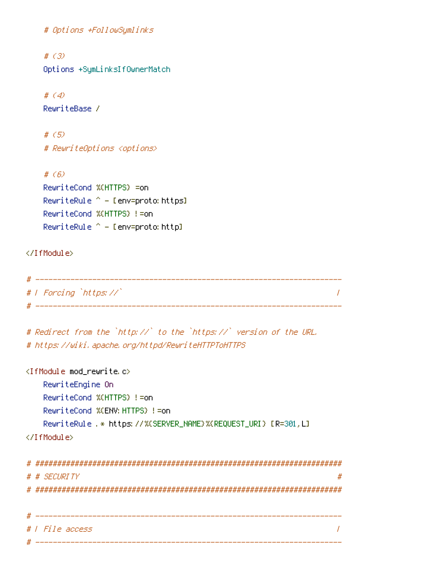```
# Options +FollowSymlinks
```

```
# (3)
Options +SymLinksIfOwnerMatch
```

```
# (4)
RewriteBase /
```

```
# (5)
# RewriteOptions <options>
```

```
# (6)
RewriteCond %{HTTPS} =on
RewriteRule ^{\wedge} - [env=proto: https]
RewriteCond %{HTTPS} !=on
RewriteRule ^{\wedge} - [env=proto:http]
```
</IfModule>

```
# ----------------------------------------------------------------------
# | Forcing `https://` |
# ----------------------------------------------------------------------
```

```
# Redirect from the `http://` to the `https://` version of the URL.
# https://wiki.apache.org/httpd/RewriteHTTPToHTTPS
```

```
<IfModule mod_rewrite.c>
   RewriteEngine On
   RewriteCond %{HTTPS} !=on
   RewriteCond %{ENV:HTTPS} !=on
   RewriteRule .* https://%{SERVER_NAME}%{REQUEST_URI} [R=301,L]
</IfModule>
# ######################################################################
# # SECURITY #
# ######################################################################
# ----------------------------------------------------------------------
# | File access |
 # ----------------------------------------------------------------------
```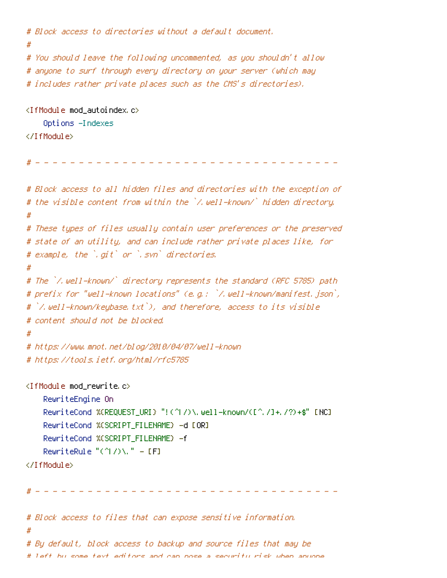```
# Block access to directories without a default document.
#
# You should leave the following uncommented, as you shouldn't allow
# anyone to surf through every directory on your server (which may
# includes rather private places such as the CMS's directories).
<IfModule mod_autoindex.c>
    Options -Indexes
</IfModule>
                     # - - - - - - - - - - - - - - - - - - - - - - - - - - - - - - - - - - -
# Block access to all hidden files and directories with the exception of
# the visible content from within the `/.well-known/` hidden directory.
#
# These types of files usually contain user preferences or the preserved
# state of an utility, and can include rather private places like, for
# example, the `.git` or `.svn` directories.
#
# The `/.well-known/` directory represents the standard (RFC 5785) path
# prefix for "well-known locations" (e.g.: `/.well-known/manifest.json`,
# `/.well-known/keybase.txt`), and therefore, access to its visible
# content should not be blocked.
#
# https://www.mnot.net/blog/2010/04/07/well-known
# https://tools.ietf.org/html/rfc5785
<IfModule mod_rewrite.c>
    RewriteEngine On
    RewriteCond %{REQUEST_URI} "!(^|/)\.well-known/([^./]+./?)+$" [NC]
    RewriteCond %{SCRIPT_FILENAME} -d [OR]
    RewriteCond %{SCRIPT_FILENAME} -f
    RewriteRule "(^|/)\." - [F]
```

```
</IfModule>
```
# - - - - - - - - - - - - - - - - - - - - - - - - - - - - - - - - - - -

# Block access to files that can expose sensitive information. # # By default, block access to backup and source files that may be # left by some text editors and can pose <sup>a</sup> security risk when anyone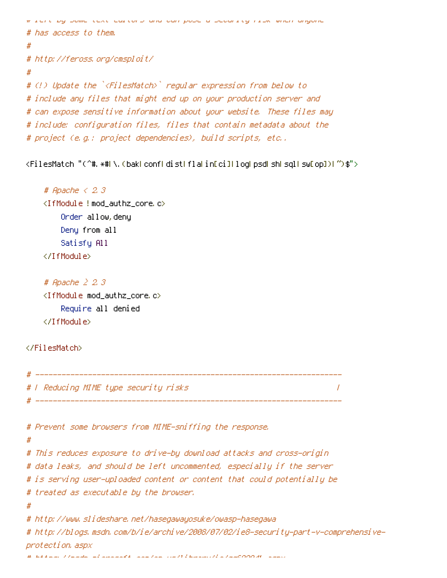```
# left by some text editors and can pose a security risk when anyone
# has access to them.
#
# http://feross.org/cmsploit/
#
# (!) Update the `<FilesMatch>` regular expression from below to
# include any files that might end up on your production server and
# can expose sensitive information about your website. These files may
# include: configuration files, files that contain metadata about the
# project (e.g.: project dependencies), build scripts, etc..
```
<FilesMatch "(^#.\*#|\.(bak|conf|dist|fla|in[ci]|log|psd|sh|sql|sw[op])|~)\$">

```
# Apache < 2.3
<IfModule !mod_authz_core.c>
    Order allow,deny
    Deny from all
    Satisfy All
</IfModule>
```

```
# Apache ≥ 2.3
<IfModule mod_authz_core.c>
    Require all denied
</IfModule>
```
### </FilesMatch>

```
# ----------------------------------------------------------------------
# | Reducing MIME type security risks |
 # ----------------------------------------------------------------------
# Prevent some browsers from MIME-sniffing the response.
#
# This reduces exposure to drive-by download attacks and cross-origin
# data leaks, and should be left uncommented, especially if the server
# is serving user-uploaded content or content that could potentially be
# treated as executable by the browser.
#
# http://www.slideshare.net/hasegawayosuke/owasp-hasegawa
# http://blogs.msdn.com/b/ie/archive/2008/07/02/ie8-security-part-v-comprehensive-
protection.aspx
\mu , and the set of second and second and \mu as \mu as \mu as \mu as \mu as \mu as \mu as \mu
```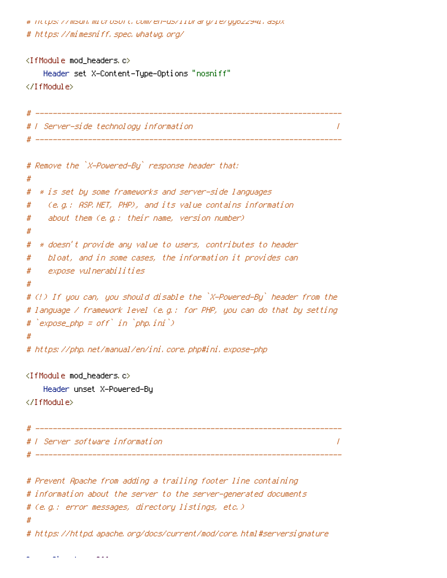# https://msdn.microsoft.com/en-us/library/ie/gg622941.aspx # https://mimesniff.spec.whatwg.org/

```
<IfModule mod_headers.c>
    Header set X-Content-Type-Options "nosniff"
</IfModule>
# ----------------------------------------------------------------------
# | Server-side technology information |
 # ----------------------------------------------------------------------
# Remove the `X-Powered-By` response header that:
#
# * is set by some frameworks and server-side languages
# (e.g.: ASP.NET, PHP), and its value contains information
# about them (e.g.: their name, version number)
#
# * doesn't provide any value to users, contributes to header
# bloat, and in some cases, the information it provides can
# expose vulnerabilities
#
# (!) If you can, you should disable the `X-Powered-By` header from the
# language / framework level (e.g.: for PHP, you can do that by setting
# `expose_php = off` in `php.ini`)
#
# https://php.net/manual/en/ini.core.php#ini.expose-php
<IfModule mod_headers.c>
    Header unset X-Powered-By
</IfModule>
 # ----------------------------------------------------------------------
 . In the server software information \mathcal I# ----------------------------------------------------------------------
# Prevent Apache from adding a trailing footer line containing
# information about the server to the server-generated documents
# (e.g.: error messages, directory listings, etc.)
#
# https://httpd.apache.org/docs/current/mod/core.html#serversignature
```
ServerSignature Off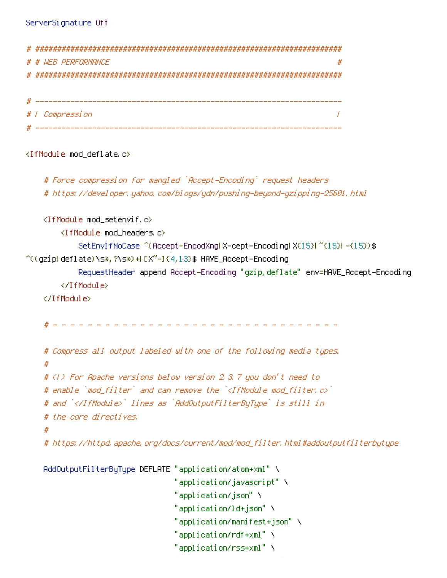```
# ######################################################################
 # WEB PERFORMANCE
# ######################################################################
# ----------------------------------------------------------------------
# | Compression |
    # ----------------------------------------------------------------------
<IfModule mod_deflate.c>
   # Force compression for mangled `Accept-Encoding` request headers
   # https://developer.yahoo.com/blogs/ydn/pushing-beyond-gzipping-25601.html
   <IfModule mod_setenvif.c>
       <IfModule mod_headers.c>
```
SetEnvIfNoCase ^(Accept-EncodXng|X-cept-Encoding|X{15}|~{15}|-{15})\$  $\hat{C}$ ((gzipHdeflate)\s\*,?\s\*)+H[X~-]{4,13}\$ HAVE\_Accept-Encoding

RequestHeader append Accept-Encoding "gzip,deflate" env=HAVE\_Accept-Encoding </IfModule>

</IfModule>

# - - - - - - - - - - - - - - - - - - - - - - - - - - - - - - - - -

```
# Compress all output labeled with one of the following media types.
#
# (!) For Apache versions below version 2.3.7 you don't need to
# enable `mod_filter` and can remove the `<IfModule mod_filter.c>`
# and `</IfModule>` lines as `AddOutputFilterByType` is still in
# the core directives.
#
# https://httpd.apache.org/docs/current/mod/mod_filter.html#addoutputfilterbytype
```

```
AddOutputFilterByType DEFLATE "application/atom+xml" \
                              "application/javascript" \
                              "application/json" \
                              "application/ld+json" \
                              "application/manifest+json" \
                              "application/rdf+xml" \
                              "application/rss+xml" \
```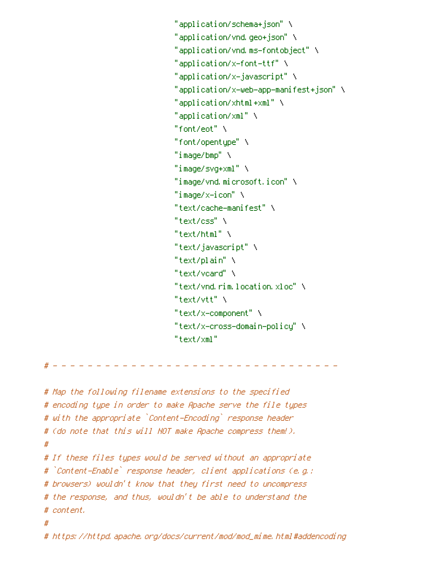```
"application/schema+json" \
"application/vnd.geo+json" \
"application/vnd.ms-fontobject" \
"application/x-font-ttf" \
"application/x-javascript" \
"application/x-web-app-manifest+json" \
"application/xhtml+xml" \
"application/xml" \
"font/eot" \
"font/opentype" \
"image/bmp" \
"image/svg+xml" \
"image/vnd.microsoft.icon" \
"image/x-icon" \
"text/cache-manifest" \
"text/css" \
"text/html" \setminus"text/javascript" \
"text/plain" \
"text/vcard" \
"text/vnd.rim.location.xloc" \
"text/vtt" \
"text/x-component" \
"text/x-cross-domain-policy" \
"text/xml"
```
# - - - - - - - - - - - - - - - - - - - - - - - - - - - - - - - - -

```
# Map the following filename extensions to the specified
# encoding type in order to make Apache serve the file types
# with the appropriate `Content-Encoding` response header
# (do note that this will NOT make Apache compress them!).
#
# If these files types would be served without an appropriate
# `Content-Enable` response header, client applications (e.g.:
# browsers) wouldn't know that they first need to uncompress
# the response, and thus, wouldn't be able to understand the
# content.
#
# https://httpd.apache.org/docs/current/mod/mod_mime.html#addencoding
```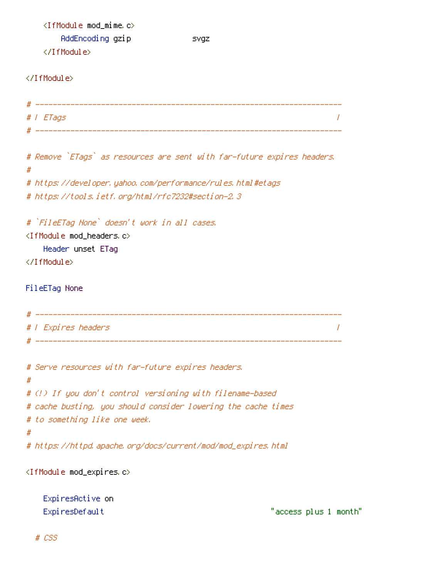<IfModule mod\_mime.c> AddEncoding gzip svgz </IfModule>

</IfModule>

```
# ----------------------------------------------------------------------
# | ETags |
# ----------------------------------------------------------------------
```
# Remove `ETags` as resources are sent with far-future expires headers. # # https://developer.yahoo.com/performance/rules.html#etags

```
# https://tools.ietf.org/html/rfc7232#section-2.3
```
# `FileETag None` doesn't work in all cases.

<IfModule mod\_headers.c> Header unset ETag

</IfModule>

FileETag None

```
# ----------------------------------------------------------------------
# | Expires headers |
# ----------------------------------------------------------------------
```

```
# Serve resources with far-future expires headers.
#
# (!) If you don't control versioning with filename-based
# cache busting, you should consider lowering the cache times
# to something like one week.
#
# https://httpd.apache.org/docs/current/mod/mod_expires.html
```
<IfModule mod\_expires.c>

| ExpiresActive on |                       |
|------------------|-----------------------|
| ExpiresDefault   | "access plus 1 month" |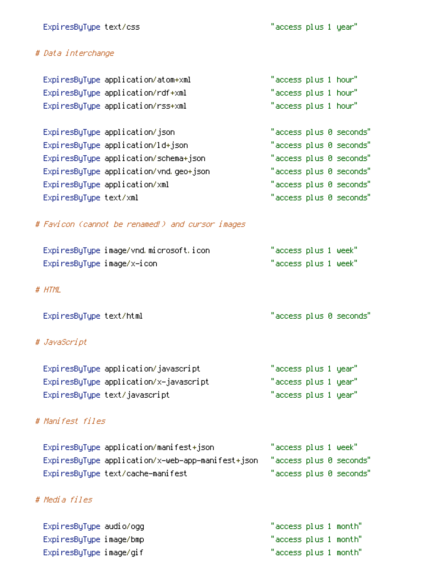# # Data interchange

|                        | ExpiresByType application/atom+xml     | "access plus 1 hour" |  |                         |
|------------------------|----------------------------------------|----------------------|--|-------------------------|
|                        | ExpiresByType application/rdf+xml      | "access plus 1 hour" |  |                         |
|                        | ExpiresByType application/rss+xml      | "access plus 1 hour" |  |                         |
|                        |                                        |                      |  |                         |
|                        | ExpiresByType application/json         |                      |  | "access plus 0 seconds" |
|                        | ExpiresByType application/ld+json      |                      |  | "access plus 0 seconds" |
|                        | ExpiresByType application/schema+json  |                      |  | "access plus 0 seconds" |
|                        | ExpiresByType application/vnd.geo+json |                      |  | "access plus 0 seconds" |
|                        | ExpiresByType application/xml          |                      |  | "access plus 0 seconds" |
| ExpiresByType text/xml |                                        |                      |  | "access plus 0 seconds" |

# # Favicon (cannot be renamed!) and cursor images

| ExpiresByType image/vnd.microsoft.icon | "access plus 1 week" |
|----------------------------------------|----------------------|
| ExpiresByType image/x-icon             | "access plus 1 week" |

### # HTML

ExpiresByType text/html "access plus 0 seconds"

# # JavaScript

| ExpiresByType application/javascript   | "access plus 1 year" |  |
|----------------------------------------|----------------------|--|
| ExpiresByType application/x-javascript | "access plus 1 year" |  |
| ExpiresByType text/javascript          | "access plus 1 year" |  |

# # Manifest files

| ExpiresByType application/manifest+json           | "access plus 1 week"    |
|---------------------------------------------------|-------------------------|
| ExpiresByType application/x-web-app-manifest+json | "access plus 0 seconds" |
| ExpiresByType text/cache-manifest                 | "access plus 0 seconds" |

# # Media files

| ExpiresByType audio/ogg | "access plus 1 month" |  |
|-------------------------|-----------------------|--|
| ExpiresByType image/bmp | "access plus 1 month" |  |
| ExpiresByType image/gif | "access plus 1 month" |  |